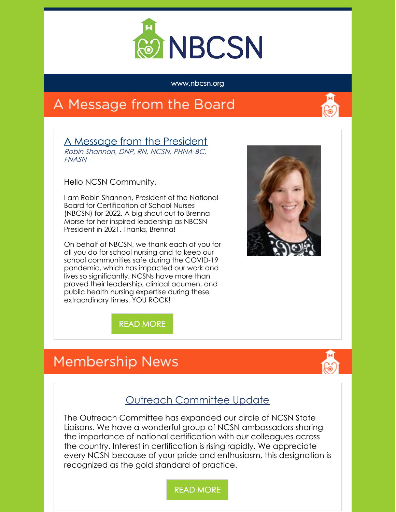

#### www.nbcsn.org

## A Message from the Board



A Message from the President Robin Shannon, DNP, RN, NCSN, PHNA-BC, FNASN

Hello NCSN Community,

I am Robin Shannon, President of the National Board for Certification of School Nurses (NBCSN) for 2022. A big shout out to Brenna Morse for her inspired leadership as NBCSN President in 2021. Thanks, Brenna!

On behalf of NBCSN, we thank each of you for all you do for school nursing and to keep our school communities safe during the COVID-19 pandemic, which has impacted our work and lives so significantly. NCSNs have more than proved their leadership, clinical acumen, and public health nursing expertise during these extraordinary times. YOU ROCK!



READ [MORE](https://www.nbcsn.org/president-update-5/)

## **Membership News**



#### Outreach Committee Update

The Outreach Committee has expanded our circle of NCSN State Liaisons. We have a wonderful group of NCSN ambassadors sharing the importance of national certification with our colleagues across the country. Interest in certification is rising rapidly. We appreciate every NCSN because of your pride and enthusiasm, this designation is recognized as the gold standard of practice.

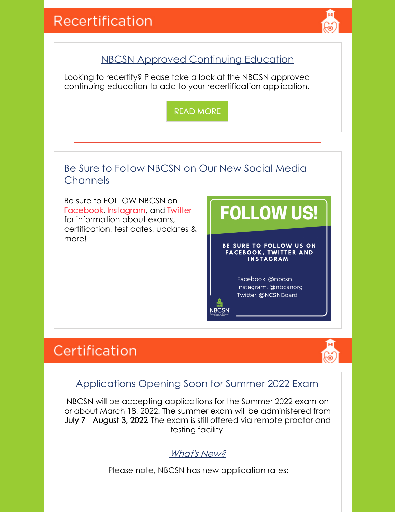

## NBCSN Approved Continuing Education

Looking to recertify? Please take a look at the NBCSN approved continuing education to add to your recertification application.

READ [MORE](https://www.nbcsn.org/nbcsn-approved-continuing-education/)

### Be Sure to Follow NBCSN on Our New Social Media **Channels**

Be sure to FOLLOW NBCSN on [Facebook,](https://www.facebook.com/NBCSN) [Instagram](https://www.instagram.com/nbcsnorg/), and [Twitter](https://twitter.com/NCSNBoard) for information about exams, certification, test dates, updates & more!

# **FOLLOW US!**

#### BE SURE TO FOLLOW US ON **FACEBOOK, TWITTER AND INSTAGRAM**

Facebook: @nbcsn Instagram: @nbcsnorg Twitter: @NCSNBoard

## Certification



#### Applications Opening Soon for Summer 2022 Exam

**NBCSN** 

NBCSN will be accepting applications for the Summer 2022 exam on or about March 18, 2022. The summer exam will be administered from July 7 - August 3, 2022. The exam is still offered via remote proctor and testing facility.

#### What's New?

Please note, NBCSN has new application rates: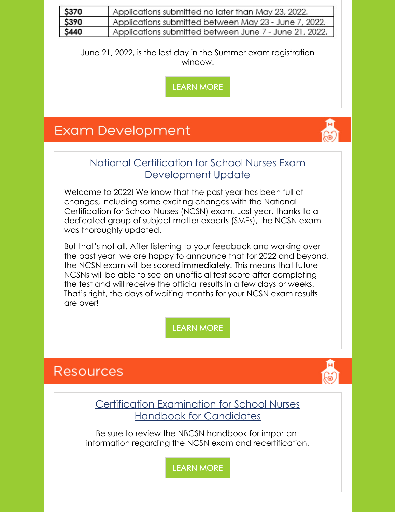| \$370                                                                                                                                                                                                                                                                                           | Applications submitted no later than May 23, 2022.                                                                                                                                                                                                                                                                                                                                                                                     |
|-------------------------------------------------------------------------------------------------------------------------------------------------------------------------------------------------------------------------------------------------------------------------------------------------|----------------------------------------------------------------------------------------------------------------------------------------------------------------------------------------------------------------------------------------------------------------------------------------------------------------------------------------------------------------------------------------------------------------------------------------|
| \$390                                                                                                                                                                                                                                                                                           | Applications submitted between May 23 - June 7, 2022.                                                                                                                                                                                                                                                                                                                                                                                  |
| \$440                                                                                                                                                                                                                                                                                           | Applications submitted between June 7 - June 21, 2022.                                                                                                                                                                                                                                                                                                                                                                                 |
| June 21, 2022, is the last day in the Summer exam registration<br>window.<br><b>LEARN MORE</b>                                                                                                                                                                                                  |                                                                                                                                                                                                                                                                                                                                                                                                                                        |
| <b>Exam Development</b>                                                                                                                                                                                                                                                                         |                                                                                                                                                                                                                                                                                                                                                                                                                                        |
| National Certification for School Nurses Exam<br>Development Update                                                                                                                                                                                                                             |                                                                                                                                                                                                                                                                                                                                                                                                                                        |
| Welcome to 2022! We know that the past year has been full of<br>changes, including some exciting changes with the National<br>Certification for School Nurses (NCSN) exam. Last year, thanks to a<br>dedicated group of subject matter experts (SMEs), the NCSN exam<br>was thoroughly updated. |                                                                                                                                                                                                                                                                                                                                                                                                                                        |
|                                                                                                                                                                                                                                                                                                 | But that's not all. After listening to your feedback and working over<br>the past year, we are happy to announce that for 2022 and beyond,<br>the NCSN exam will be scored immediately! This means that future<br>NCSNs will be able to see an unofficial test score after completing<br>the test and will receive the official results in a few days or weeks.<br>That's right, the days of waiting months for your NCSN exam results |

## [LEARN](https://www.nbcsn.org/exam-development-3/) MORE

## **Resources**

are over!

Certification Examination for School Nurses Handbook for Candidates

Be sure to review the NBCSN handbook for important information regarding the NCSN exam and recertification.

[LEARN](https://www.nbcsn.org/resources/ncsn-handbook/) MORE